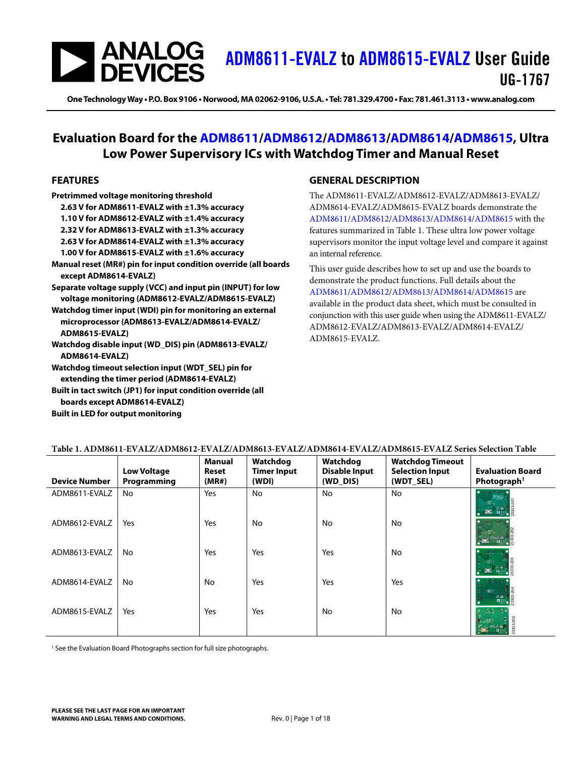## **SANALOG**<br>DEVICES [ADM8611-EVALZ](https://www.analog.com/ADM8611-evalz?doc=ADM8611-EVALZ-8612-EVALZ-8613-EVALZ-8614-EVALZ-8615-EVALZ-UG-1767.pdf) to [ADM8615-EVALZ](https://www.analog.com/ADM8615-evalz?doc=ADM8611-EVALZ-8612-EVALZ-8613-EVALZ-8614-EVALZ-8615-EVALZ-UG-1767.pdf) User Guide UG-1767

**One Technology Way • P.O. Box 9106 • Norwood, MA 02062-9106, U.S.A. • Tel: 781.329.4700 • Fax: 781.461.3113 • www.analog.com** 

## **Evaluation Board for the [ADM8611/](https://www.analog.com/ADM8611?doc=ADM8611-EVALZ-8612-EVALZ-8613-EVALZ-8614-EVALZ-8615-EVALZ-UG-1767.pdf)[ADM8612](https://www.analog.com/ADM8612?doc=ADM8611-EVALZ-8612-EVALZ-8613-EVALZ-8614-EVALZ-8615-EVALZ-UG-1767.pdf)[/ADM8613/](https://www.analog.com/ADM8613?doc=ADM8611-EVALZ-8612-EVALZ-8613-EVALZ-8614-EVALZ-8615-EVALZ-UG-1767.pdf)[ADM8614/](https://www.analog.com/ADM8614?doc=ADM8611-EVALZ-8612-EVALZ-8613-EVALZ-8614-EVALZ-8615-EVALZ-UG-1767.pdf)[ADM8615,](https://www.analog.com/ADM8615?doc=ADM8611-EVALZ-8612-EVALZ-8613-EVALZ-8614-EVALZ-8615-EVALZ-UG-1767.pdf) Ultra Low Power Supervisory ICs with Watchdog Timer and Manual Reset**

#### <span id="page-0-1"></span>**FEATURES**

**Pretrimmed voltage monitoring threshold 2.63 V for ADM8611-EVALZ with ±1.3% accuracy** 

- **1.10 V for ADM8612-EVALZ with ±1.4% accuracy**
- **2.32 V for ADM8613-EVALZ with ±1.3% accuracy**

**2.63 V for ADM8614-EVALZ with ±1.3% accuracy** 

**1.00 V for ADM8615-EVALZ with ±1.6% accuracy** 

**Manual reset (MR#) pin for input condition override (all boards except ADM8614-EVALZ)** 

**Separate voltage supply (VCC) and input pin (INPUT) for low voltage monitoring (ADM8612-EVALZ/ADM8615-EVALZ)** 

**Watchdog timer input (WDI) pin for monitoring an external microprocessor (ADM8613-EVALZ/ADM8614-EVALZ/ ADM8615-EVALZ)** 

- **Watchdog disable input (WD\_DIS) pin (ADM8613-EVALZ/ ADM8614-EVALZ)**
- **Watchdog timeout selection input (WDT\_SEL) pin for extending the timer period (ADM8614-EVALZ)**

**Built in tact switch (JP1) for input condition override (all boards except ADM8614-EVALZ)** 

#### **Built in LED for output monitoring**

#### <span id="page-0-2"></span>**GENERAL DESCRIPTION**

The ADM8611-EVALZ/ADM8612-EVALZ/ADM8613-EVALZ/ ADM8614-EVALZ/ADM8615-EVALZ boards demonstrate the [ADM8611](https://www.analog.com/ADM8611?doc=ADM8611-EVALZ-8612-EVALZ-8613-EVALZ-8614-EVALZ-8615-EVALZ-UG-1767.pdf)[/ADM8612/](https://www.analog.com/ADM8612?doc=ADM8611-EVALZ-8612-EVALZ-8613-EVALZ-8614-EVALZ-8615-EVALZ-UG-1767.pdf)[ADM8613/](https://www.analog.com/ADM8613?doc=ADM8611-EVALZ-8612-EVALZ-8613-EVALZ-8614-EVALZ-8615-EVALZ-UG-1767.pdf)[ADM8614/](https://www.analog.com/ADM8614?doc=ADM8611-EVALZ-8612-EVALZ-8613-EVALZ-8614-EVALZ-8615-EVALZ-UG-1767.pdf)[ADM8615](https://www.analog.com/ADM8615?doc=ADM8611-EVALZ-8612-EVALZ-8613-EVALZ-8614-EVALZ-8615-EVALZ-UG-1767.pdf) with the features summarized in [Table 1.](#page-0-0) These ultra low power voltage supervisors monitor the input voltage level and compare it against an internal reference.

This user guide describes how to set up and use the boards to demonstrate the product functions. Full details about the [ADM8611](https://www.analog.com/ADM8611?doc=ADM8611-EVALZ-8612-EVALZ-8613-EVALZ-8614-EVALZ-8615-EVALZ-UG-1767.pdf)[/ADM8612/](https://www.analog.com/ADM8612?doc=ADM8611-EVALZ-8612-EVALZ-8613-EVALZ-8614-EVALZ-8615-EVALZ-UG-1767.pdf)[ADM8613/](https://www.analog.com/ADM8613?doc=ADM8611-EVALZ-8612-EVALZ-8613-EVALZ-8614-EVALZ-8615-EVALZ-UG-1767.pdf)[ADM8614/](https://www.analog.com/ADM8614?doc=ADM8611-EVALZ-8612-EVALZ-8613-EVALZ-8614-EVALZ-8615-EVALZ-UG-1767.pdf)[ADM8615](https://www.analog.com/ADM8615?doc=ADM8611-EVALZ-8612-EVALZ-8613-EVALZ-8614-EVALZ-8615-EVALZ-UG-1767.pdf) are available in the product data sheet, which must be consulted in conjunction with this user guide when using the ADM8611-EVALZ/ ADM8612-EVALZ/ADM8613-EVALZ/ADM8614-EVALZ/ ADM8615-EVALZ.

| <b>Device Number</b> | <b>Low Voltage</b><br>Programming | Manual<br>Reset<br>(MR#) | Watchdog<br><b>Timer Input</b><br>(WDI) | Watchdog<br><b>Disable Input</b><br>(WD_DIS) | <b>Watchdog Timeout</b><br><b>Selection Input</b><br>(WDT_SEL) | <b>Evaluation Board</b><br>Photograph <sup>1</sup> |
|----------------------|-----------------------------------|--------------------------|-----------------------------------------|----------------------------------------------|----------------------------------------------------------------|----------------------------------------------------|
| ADM8611-EVALZ        | No                                | Yes                      | No                                      | No.                                          | No                                                             | $n =$                                              |
| ADM8612-EVALZ        | Yes                               | Yes                      | No                                      | No.                                          | No                                                             |                                                    |
| ADM8613-EVALZ        | <b>No</b>                         | Yes                      | Yes                                     | Yes                                          | No                                                             |                                                    |
| ADM8614-EVALZ        | No                                | No                       | Yes                                     | Yes                                          | Yes                                                            | vertic<br>$\frac{1}{\mathbf{D}(\mathbf{r})}$       |
| ADM8615-EVALZ        | Yes                               | Yes                      | Yes                                     | No.                                          | No                                                             |                                                    |

#### <span id="page-0-0"></span>**Table 1. ADM8611-EVALZ/ADM8612-EVALZ/ADM8613-EVALZ/ADM8614-EVALZ/ADM8615-EVALZ Series Selection Table**

<sup>1</sup> See th[e Evaluation Board Photographs s](#page-2-0)ection for full size photographs.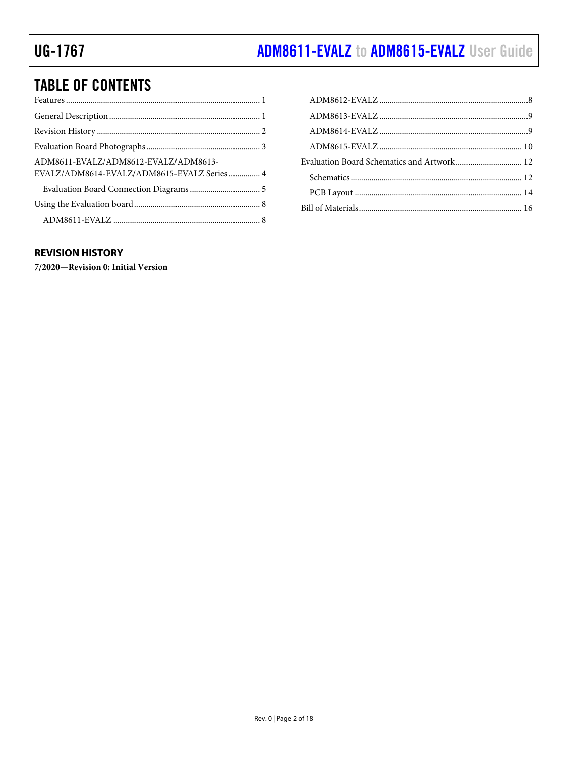# ADM8611-EVALZ to ADM8615-EVALZ User Guide

## **TABLE OF CONTENTS**

| ADM8611-EVALZ/ADM8612-EVALZ/ADM8613-<br>EVALZ/ADM8614-EVALZ/ADM8615-EVALZ Series  4 |  |
|-------------------------------------------------------------------------------------|--|
|                                                                                     |  |
|                                                                                     |  |
|                                                                                     |  |

| Evaluation Board Schematics and Artwork 12 |  |
|--------------------------------------------|--|
|                                            |  |
|                                            |  |
|                                            |  |

### <span id="page-1-0"></span>**REVISION HISTORY**

7/2020-Revision 0: Initial Version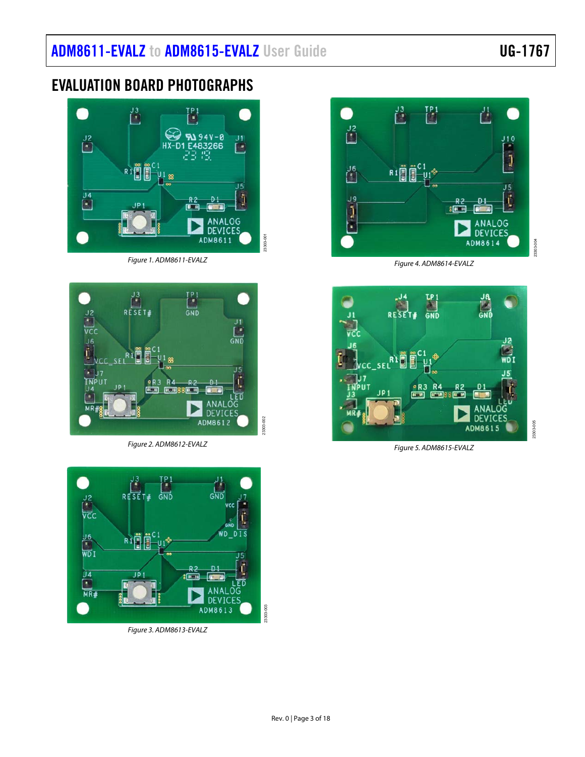## <span id="page-2-0"></span>EVALUATION BOARD PHOTOGRAPHS



Figure 1. ADM8611-EVALZ

<span id="page-2-1"></span>

Figure 2. ADM8612-EVALZ

<span id="page-2-2"></span>

<span id="page-2-3"></span>Figure 3. ADM8613-EVALZ



Figure 4. ADM8614-EVALZ

<span id="page-2-4"></span>

<span id="page-2-5"></span>Figure 5. ADM8615-EVALZ

23303-005

23303-003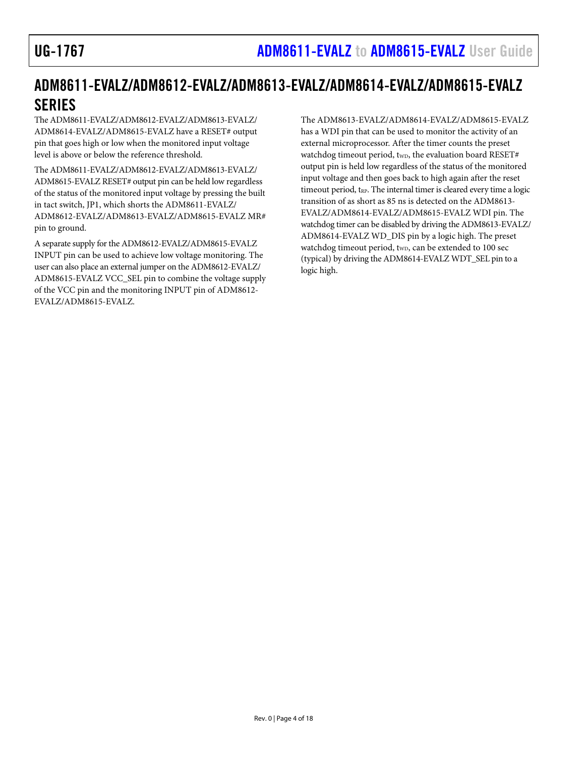## <span id="page-3-0"></span>ADM8611-EVALZ/ADM8612-EVALZ/ADM8613-EVALZ/ADM8614-EVALZ/ADM8615-EVALZ SERIES

The ADM8611-EVALZ/ADM8612-EVALZ/ADM8613-EVALZ/ ADM8614-EVALZ/ADM8615-EVALZ have a RESET# output pin that goes high or low when the monitored input voltage level is above or below the reference threshold.

The ADM8611-EVALZ/ADM8612-EVALZ/ADM8613-EVALZ/ ADM8615-EVALZ RESET# output pin can be held low regardless of the status of the monitored input voltage by pressing the built in tact switch, JP1, which shorts the ADM8611-EVALZ/ ADM8612-EVALZ/ADM8613-EVALZ/ADM8615-EVALZ MR# pin to ground.

A separate supply for the ADM8612-EVALZ/ADM8615-EVALZ INPUT pin can be used to achieve low voltage monitoring. The user can also place an external jumper on the ADM8612-EVALZ/ ADM8615-EVALZ VCC\_SEL pin to combine the voltage supply of the VCC pin and the monitoring INPUT pin of ADM8612- EVALZ/ADM8615-EVALZ.

The ADM8613-EVALZ/ADM8614-EVALZ/ADM8615-EVALZ has a WDI pin that can be used to monitor the activity of an external microprocessor. After the timer counts the preset watchdog timeout period, twp, the evaluation board RESET# output pin is held low regardless of the status of the monitored input voltage and then goes back to high again after the reset timeout period, t<sub>RP</sub>. The internal timer is cleared every time a logic transition of as short as 85 ns is detected on the ADM8613- EVALZ/ADM8614-EVALZ/ADM8615-EVALZ WDI pin. The watchdog timer can be disabled by driving the ADM8613-EVALZ/ ADM8614-EVALZ WD\_DIS pin by a logic high. The preset watchdog timeout period, t<sub>WD</sub>, can be extended to 100 sec (typical) by driving the ADM8614-EVALZ WDT\_SEL pin to a logic high.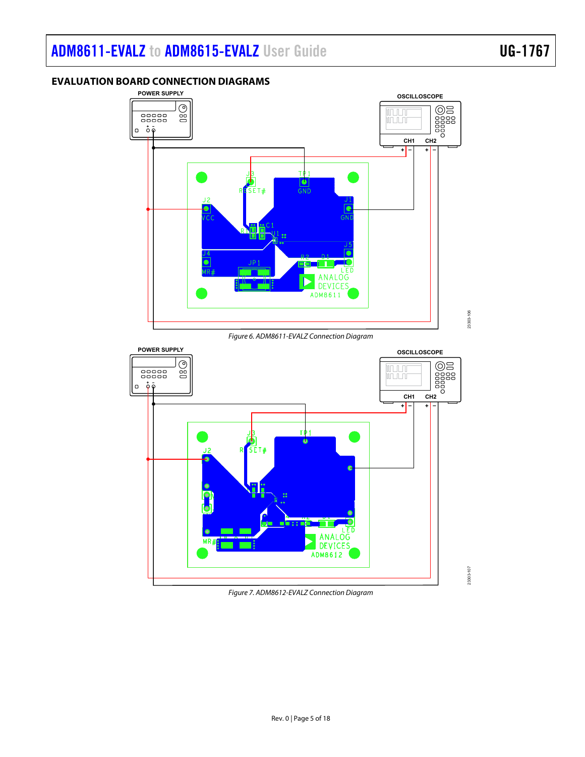# [ADM8611-EVALZ t](https://www.analog.com/ADM8611-evalz?doc=ADM8611-EVALZ-8612-EVALZ-8613-EVALZ-8614-EVALZ-8615-EVALZ-UG-1767.pdf)o [ADM8615-EVALZ](https://www.analog.com/ADM8615-evalz?doc=ADM8611-EVALZ-8612-EVALZ-8613-EVALZ-8614-EVALZ-8615-EVALZ-UG-1767.pdf) User Guide UG-1767

<span id="page-4-0"></span>**EVALUATION BOARD CONNECTION DIAGRAMS** 

### **POWER SUPPLY OSCILLOSCOPE**  $\overline{C}$ **CH1** CH2<br>
CH1 CH2<br>
CH<sub>1</sub> CH2 **unului**  $\begin{array}{c} 00000 \\ 00000 \\ \end{array}$ **ununu**  $\overline{0}$   $\overline{0}$   $\overline{0}$ **+ – + –**  $TP1$  $\frac{|\bullet|}{\text{GND}}$  $SET#$  $J\bar{Z}$ ۸ ANALOG **DEVICES** ADM8611 23303-106 23303-106

Figure 6. ADM8611-EVALZ Connection Diagram

<span id="page-4-1"></span>

<span id="page-4-2"></span>Figure 7. ADM8612-EVALZ Connection Diagram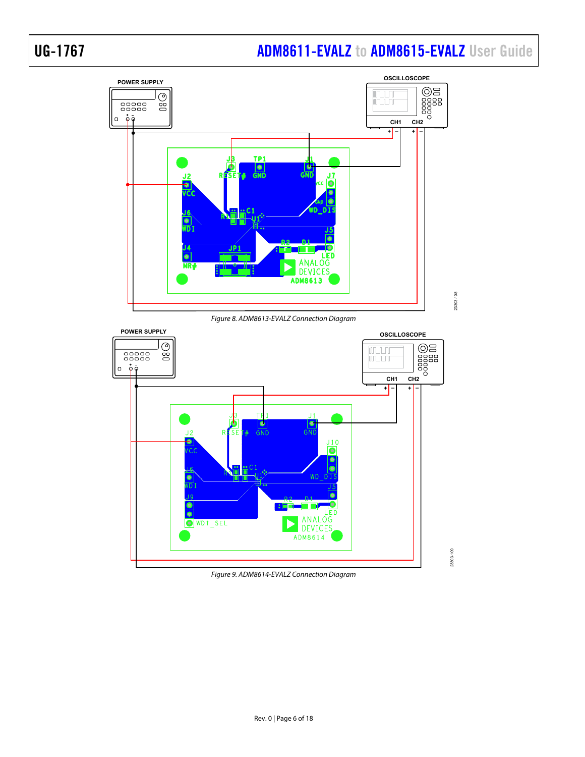## UG-1767 **[ADM8611-EVALZ](https://www.analog.com/ADM8611-evalz?doc=ADM8611-EVALZ-8612-EVALZ-8613-EVALZ-8614-EVALZ-8615-EVALZ-UG-1767.pdf) to ADM8615-EVALZ** User Guide



Figure 8. ADM8613-EVALZ Connection Diagram

<span id="page-5-0"></span>

<span id="page-5-1"></span>Figure 9. ADM8614-EVALZ Connection Diagram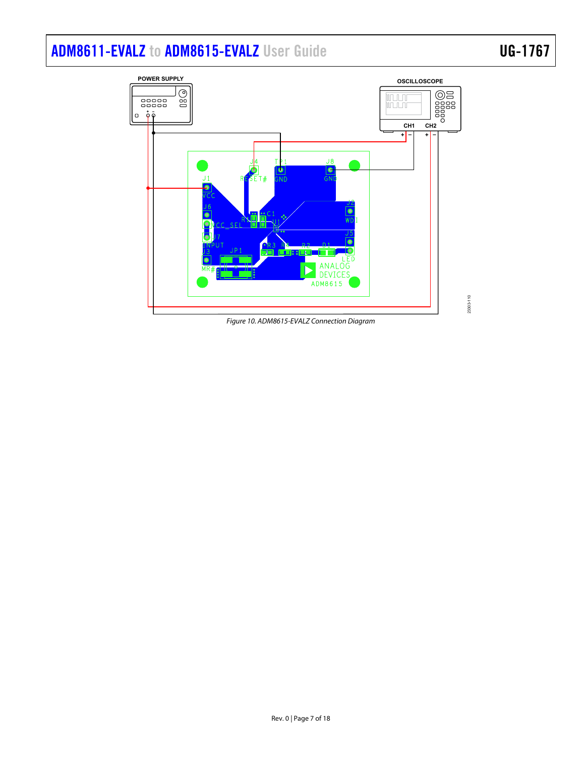# [ADM8611-EVALZ](https://www.analog.com/ADM8611-evalz?doc=ADM8611-EVALZ-8612-EVALZ-8613-EVALZ-8614-EVALZ-8615-EVALZ-UG-1767.pdf) to [ADM8615-EVALZ](https://www.analog.com/ADM8615-evalz?doc=ADM8611-EVALZ-8612-EVALZ-8613-EVALZ-8614-EVALZ-8615-EVALZ-UG-1767.pdf) User Guide UG-1767



<span id="page-6-0"></span>Figure 10. ADM8615-EVALZ Connection Diagram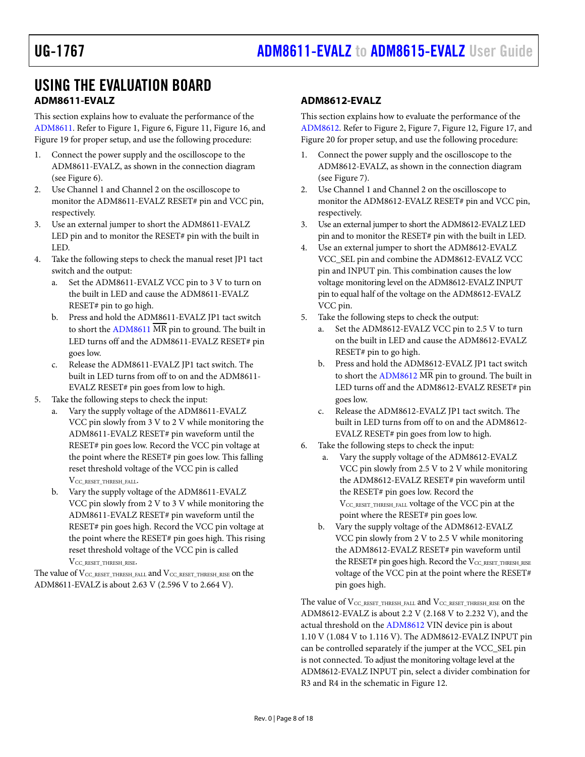## <span id="page-7-0"></span>USING THE EVALUATION BOARD **ADM8611-EVALZ**

<span id="page-7-1"></span>This section explains how to evaluate the performance of the [ADM8611.](https://www.analog.com/ADM8611?doc=ADM8611-EVALZ-8612-EVALZ-8613-EVALZ-8614-EVALZ-8615-EVALZ-UG-1767.pdf) Refer t[o Figure 1,](#page-2-1) [Figure 6,](#page-4-1) [Figure 11,](#page-11-2) [Figure 16,](#page-13-1) and [Figure 19 f](#page-13-2)or proper setup, and use the following procedure:

- 1. Connect the power supply and the oscilloscope to the ADM8611-EVALZ, as shown in the connection diagram (see [Figure 6\)](#page-4-1).
- 2. Use Channel 1 and Channel 2 on the oscilloscope to monitor the ADM8611-EVALZ RESET# pin and VCC pin, respectively.
- 3. Use an external jumper to short the ADM8611-EVALZ LED pin and to monitor the RESET# pin with the built in LED.
- 4. Take the following steps to check the manual reset JP1 tact switch and the output:
	- a. Set the ADM8611-EVALZ VCC pin to 3 V to turn on the built in LED and cause the ADM8611-EVALZ RESET# pin to go high.
	- b. Press and hold the ADM8611-EVALZ JP1 tact switch to short the [ADM8611](https://www.analog.com/ADM8611?doc=ADM8611-EVALZ-8612-EVALZ-8613-EVALZ-8614-EVALZ-8615-EVALZ-UG-1767.pdf) MR pin to ground. The built in LED turns off and the ADM8611-EVALZ RESET# pin goes low.
	- c. Release the ADM8611-EVALZ JP1 tact switch. The built in LED turns from off to on and the ADM8611- EVALZ RESET# pin goes from low to high.
- 5. Take the following steps to check the input:
	- Vary the supply voltage of the ADM8611-EVALZ VCC pin slowly from 3 V to 2 V while monitoring the ADM8611-EVALZ RESET# pin waveform until the RESET# pin goes low. Record the VCC pin voltage at the point where the RESET# pin goes low. This falling reset threshold voltage of the VCC pin is called VCC\_RESET\_THRESH\_FALL.
	- b. Vary the supply voltage of the ADM8611-EVALZ VCC pin slowly from 2 V to 3 V while monitoring the ADM8611-EVALZ RESET# pin waveform until the RESET# pin goes high. Record the VCC pin voltage at the point where the RESET# pin goes high. This rising reset threshold voltage of the VCC pin is called

VCC\_RESET\_THRESH\_RISE.

The value of  $\rm V_{CC\_RESET\_THRESH\_FALL}$  and  $\rm V_{CC\_RESET\_THRESH\_RISE}$  on the ADM8611-EVALZ is about 2.63 V (2.596 V to 2.664 V).

### <span id="page-7-2"></span>**ADM8612-EVALZ**

This section explains how to evaluate the performance of the [ADM8612.](https://www.analog.com/ADM8612?doc=ADM8611-EVALZ-8612-EVALZ-8613-EVALZ-8614-EVALZ-8615-EVALZ-UG-1767.pdf) Refer t[o Figure 2,](#page-2-2) [Figure 7,](#page-4-2) [Figure 12,](#page-11-3) [Figure 17,](#page-13-3) and [Figure 20 f](#page-13-4)or proper setup, and use the following procedure:

- 1. Connect the power supply and the oscilloscope to the ADM8612-EVALZ, as shown in the connection diagram (see [Figure 7\)](#page-4-2).
- 2. Use Channel 1 and Channel 2 on the oscilloscope to monitor the ADM8612-EVALZ RESET# pin and VCC pin, respectively.
- 3. Use an external jumper to short the ADM8612-EVALZ LED pin and to monitor the RESET# pin with the built in LED.
- 4. Use an external jumper to short the ADM8612-EVALZ VCC\_SEL pin and combine the ADM8612-EVALZ VCC pin and INPUT pin. This combination causes the low voltage monitoring level on the ADM8612-EVALZ INPUT pin to equal half of the voltage on the ADM8612-EVALZ VCC pin.
- 5. Take the following steps to check the output:
	- a. Set the ADM8612-EVALZ VCC pin to 2.5 V to turn on the built in LED and cause the ADM8612-EVALZ RESET# pin to go high.
	- b. Press and hold the ADM8612-EVALZ JP1 tact switch to short the [ADM8612](https://www.analog.com/ADM8612?doc=ADM8611-EVALZ-8612-EVALZ-8613-EVALZ-8614-EVALZ-8615-EVALZ-UG-1767.pdf) MR pin to ground. The built in LED turns off and the ADM8612-EVALZ RESET# pin goes low.
	- c. Release the ADM8612-EVALZ JP1 tact switch. The built in LED turns from off to on and the ADM8612- EVALZ RESET# pin goes from low to high.
- 6. Take the following steps to check the input:
	- a. Vary the supply voltage of the ADM8612-EVALZ VCC pin slowly from 2.5 V to 2 V while monitoring the ADM8612-EVALZ RESET# pin waveform until the RESET# pin goes low. Record the V<sub>CC\_RESET\_THRESH\_FALL</sub> voltage of the VCC pin at the point where the RESET# pin goes low.
	- b. Vary the supply voltage of the ADM8612-EVALZ VCC pin slowly from 2 V to 2.5 V while monitoring the ADM8612-EVALZ RESET# pin waveform until the RESET# pin goes high. Record the VCC\_RESET\_THRESH\_RISE voltage of the VCC pin at the point where the RESET# pin goes high.

The value of  $V_{\text{CC\_RESET\_THRESH\_RAL}}$  and  $V_{\text{CC\_RESET\_THRESH\_RISE}}$  on the ADM8612-EVALZ is about 2.2 V (2.168 V to 2.232 V), and the actual threshold on th[e ADM8612 V](https://www.analog.com/ADM8612?doc=ADM8611-EVALZ-8612-EVALZ-8613-EVALZ-8614-EVALZ-8615-EVALZ-UG-1767.pdf)IN device pin is about 1.10 V (1.084 V to 1.116 V). The ADM8612-EVALZ INPUT pin can be controlled separately if the jumper at the VCC\_SEL pin is not connected. To adjust the monitoring voltage level at the ADM8612-EVALZ INPUT pin, select a divider combination for R3 and R4 in the schematic i[n Figure 12.](#page-11-3)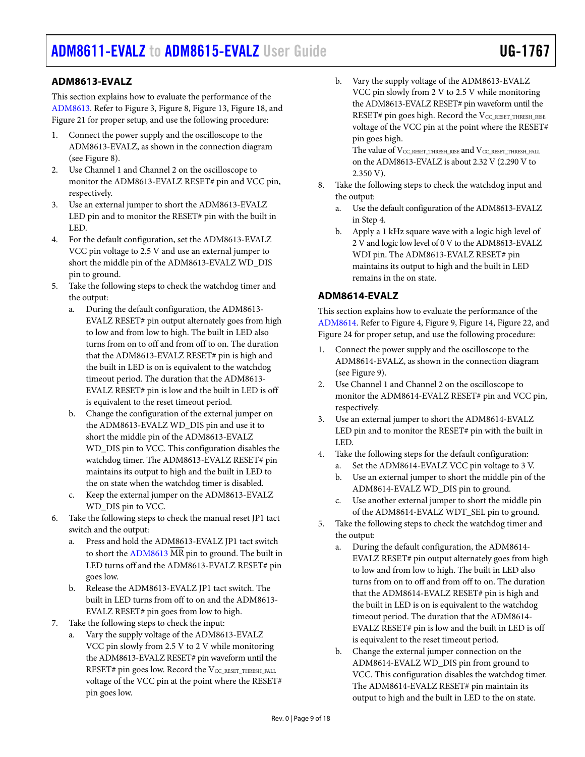# [ADM8611-EVALZ](https://www.analog.com/ADM8611-evalz?doc=ADM8611-EVALZ-8612-EVALZ-8613-EVALZ-8614-EVALZ-8615-EVALZ-UG-1767.pdf) to [ADM8615-EVALZ](https://www.analog.com/ADM8615-evalz?doc=ADM8611-EVALZ-8612-EVALZ-8613-EVALZ-8614-EVALZ-8615-EVALZ-UG-1767.pdf) User Guide UG-1767

### <span id="page-8-0"></span>**ADM8613-EVALZ**

This section explains how to evaluate the performance of the [ADM8613.](https://www.analog.com/ADM8613?doc=ADM8611-EVALZ-8612-EVALZ-8613-EVALZ-8614-EVALZ-8615-EVALZ-UG-1767.pdf) Refer t[o Figure 3,](#page-2-3) [Figure 8,](#page-5-0) [Figure 13,](#page-11-4) [Figure 18,](#page-13-5) and [Figure 21 f](#page-13-6)or proper setup, and use the following procedure:

- 1. Connect the power supply and the oscilloscope to the ADM8613-EVALZ, as shown in the connection diagram (see [Figure 8\)](#page-5-0).
- 2. Use Channel 1 and Channel 2 on the oscilloscope to monitor the ADM8613-EVALZ RESET# pin and VCC pin, respectively.
- 3. Use an external jumper to short the ADM8613-EVALZ LED pin and to monitor the RESET# pin with the built in LED.
- 4. For the default configuration, set the ADM8613-EVALZ VCC pin voltage to 2.5 V and use an external jumper to short the middle pin of the ADM8613-EVALZ WD\_DIS pin to ground.
- 5. Take the following steps to check the watchdog timer and the output:
	- a. During the default configuration, the ADM8613- EVALZ RESET# pin output alternately goes from high to low and from low to high. The built in LED also turns from on to off and from off to on. The duration that the ADM8613-EVALZ RESET# pin is high and the built in LED is on is equivalent to the watchdog timeout period. The duration that the ADM8613- EVALZ RESET# pin is low and the built in LED is off is equivalent to the reset timeout period.
	- b. Change the configuration of the external jumper on the ADM8613-EVALZ WD\_DIS pin and use it to short the middle pin of the ADM8613-EVALZ WD\_DIS pin to VCC. This configuration disables the watchdog timer. The ADM8613-EVALZ RESET# pin maintains its output to high and the built in LED to the on state when the watchdog timer is disabled.
	- c. Keep the external jumper on the ADM8613-EVALZ WD DIS pin to VCC.
- 6. Take the following steps to check the manual reset JP1 tact switch and the output:
	- a. Press and hold the ADM8613-EVALZ JP1 tact switch to short the  $ADM8613 \overline{MR}$  pin to ground. The built in LED turns off and the ADM8613-EVALZ RESET# pin goes low.
	- b. Release the ADM8613-EVALZ JP1 tact switch. The built in LED turns from off to on and the ADM8613- EVALZ RESET# pin goes from low to high.
- 7. Take the following steps to check the input:
	- Vary the supply voltage of the ADM8613-EVALZ VCC pin slowly from 2.5 V to 2 V while monitoring the ADM8613-EVALZ RESET# pin waveform until the RESET# pin goes low. Record the V<sub>CC\_RESET\_THRESH\_FALL</sub> voltage of the VCC pin at the point where the RESET# pin goes low.

b. Vary the supply voltage of the ADM8613-EVALZ VCC pin slowly from 2 V to 2.5 V while monitoring the ADM8613-EVALZ RESET# pin waveform until the RESET# pin goes high. Record the V<sub>CC\_RESET\_THRESH\_RISE</sub> voltage of the VCC pin at the point where the RESET# pin goes high.

The value of V<sub>CC\_RESET\_THRESH\_RISE</sub> and V<sub>CC\_RESET\_THRESH\_FALL</sub> on the ADM8613-EVALZ is about 2.32 V (2.290 V to 2.350 V).

- 8. Take the following steps to check the watchdog input and the output:
	- a. Use the default configuration of the ADM8613-EVALZ in Step 4.
	- b. Apply a 1 kHz square wave with a logic high level of 2 V and logic low level of 0 V to the ADM8613-EVALZ WDI pin. The ADM8613-EVALZ RESET# pin maintains its output to high and the built in LED remains in the on state.

### <span id="page-8-1"></span>**ADM8614-EVALZ**

This section explains how to evaluate the performance of the [ADM8614.](https://www.analog.com/ADM8614?doc=ADM8611-EVALZ-8612-EVALZ-8613-EVALZ-8614-EVALZ-8615-EVALZ-UG-1767.pdf) Refer t[o Figure 4,](#page-2-4) [Figure 9,](#page-5-1) [Figure 14,](#page-12-0) [Figure 22,](#page-14-0) and [Figure 24 f](#page-14-1)or proper setup, and use the following procedure:

- 1. Connect the power supply and the oscilloscope to the ADM8614-EVALZ, as shown in the connection diagram (see [Figure 9\)](#page-5-1).
- 2. Use Channel 1 and Channel 2 on the oscilloscope to monitor the ADM8614-EVALZ RESET# pin and VCC pin, respectively.
- 3. Use an external jumper to short the ADM8614-EVALZ LED pin and to monitor the RESET# pin with the built in LED.
- 4. Take the following steps for the default configuration:
	- a. Set the ADM8614-EVALZ VCC pin voltage to 3 V. b. Use an external jumper to short the middle pin of the
	- ADM8614-EVALZ WD\_DIS pin to ground. c. Use another external jumper to short the middle pin
- of the ADM8614-EVALZ WDT\_SEL pin to ground. 5. Take the following steps to check the watchdog timer and the output:
	- a. During the default configuration, the ADM8614- EVALZ RESET# pin output alternately goes from high to low and from low to high. The built in LED also turns from on to off and from off to on. The duration that the ADM8614-EVALZ RESET# pin is high and the built in LED is on is equivalent to the watchdog timeout period. The duration that the ADM8614- EVALZ RESET# pin is low and the built in LED is off is equivalent to the reset timeout period.
	- b. Change the external jumper connection on the ADM8614-EVALZ WD\_DIS pin from ground to VCC. This configuration disables the watchdog timer. The ADM8614-EVALZ RESET# pin maintain its output to high and the built in LED to the on state.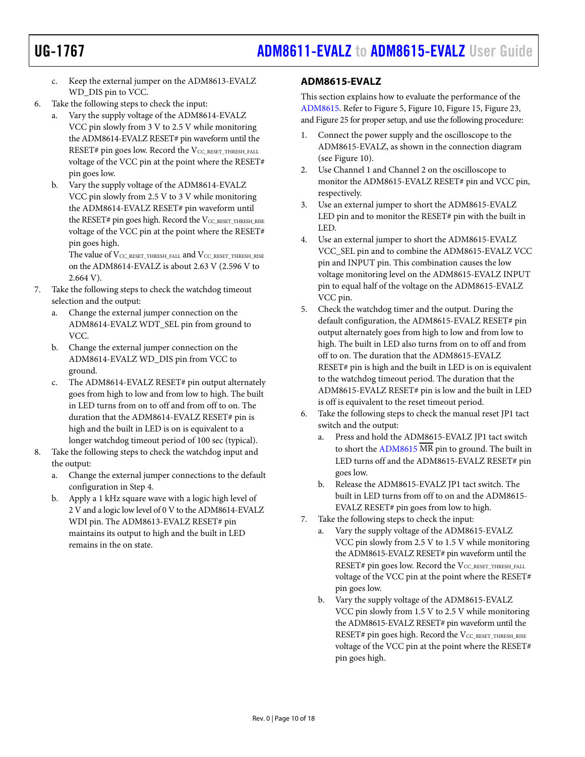- c. Keep the external jumper on the ADM8613-EVALZ WD\_DIS pin to VCC.
- 6. Take the following steps to check the input:
	- a. Vary the supply voltage of the ADM8614-EVALZ VCC pin slowly from 3 V to 2.5 V while monitoring the ADM8614-EVALZ RESET# pin waveform until the RESET# pin goes low. Record the VCC\_RESET\_THRESH\_FALL voltage of the VCC pin at the point where the RESET# pin goes low.
	- b. Vary the supply voltage of the ADM8614-EVALZ VCC pin slowly from 2.5 V to 3 V while monitoring the ADM8614-EVALZ RESET# pin waveform until the RESET# pin goes high. Record the VCC\_RESET\_THRESH\_RISE voltage of the VCC pin at the point where the RESET# pin goes high.

The value of V<sub>CC\_RESET\_THRESH\_FALL</sub> and V<sub>CC\_RESET\_THRESH\_RISE</sub> on the ADM8614-EVALZ is about 2.63 V (2.596 V to 2.664 V).

- 7. Take the following steps to check the watchdog timeout selection and the output:
	- a. Change the external jumper connection on the ADM8614-EVALZ WDT\_SEL pin from ground to VCC.
	- b. Change the external jumper connection on the ADM8614-EVALZ WD\_DIS pin from VCC to ground.
	- c. The ADM8614-EVALZ RESET# pin output alternately goes from high to low and from low to high. The built in LED turns from on to off and from off to on. The duration that the ADM8614-EVALZ RESET# pin is high and the built in LED is on is equivalent to a longer watchdog timeout period of 100 sec (typical).
- 8. Take the following steps to check the watchdog input and the output:
	- a. Change the external jumper connections to the default configuration in Step 4.
	- b. Apply a 1 kHz square wave with a logic high level of 2 V and a logic low level of 0 V to the ADM8614-EVALZ WDI pin. The ADM8613-EVALZ RESET# pin maintains its output to high and the built in LED remains in the on state.

### <span id="page-9-0"></span>**ADM8615-EVALZ**

This section explains how to evaluate the performance of the [ADM8615.](https://www.analog.com/ADM8615?doc=ADM8611-EVALZ-8612-EVALZ-8613-EVALZ-8614-EVALZ-8615-EVALZ-UG-1767.pdf) Refer t[o Figure 5,](#page-2-5) [Figure 10,](#page-6-0) [Figure 15,](#page-12-1) [Figure 23,](#page-14-2) an[d Figure 25 f](#page-14-3)or proper setup, and use the following procedure:

- 1. Connect the power supply and the oscilloscope to the ADM8615-EVALZ, as shown in the connection diagram (see [Figure 10\)](#page-6-0).
- 2. Use Channel 1 and Channel 2 on the oscilloscope to monitor the ADM8615-EVALZ RESET# pin and VCC pin, respectively.
- 3. Use an external jumper to short the ADM8615-EVALZ LED pin and to monitor the RESET# pin with the built in LED.
- 4. Use an external jumper to short the ADM8615-EVALZ VCC\_SEL pin and to combine the ADM8615-EVALZ VCC pin and INPUT pin. This combination causes the low voltage monitoring level on the ADM8615-EVALZ INPUT pin to equal half of the voltage on the ADM8615-EVALZ VCC pin.
- 5. Check the watchdog timer and the output. During the default configuration, the ADM8615-EVALZ RESET# pin output alternately goes from high to low and from low to high. The built in LED also turns from on to off and from off to on. The duration that the ADM8615-EVALZ RESET# pin is high and the built in LED is on is equivalent to the watchdog timeout period. The duration that the ADM8615-EVALZ RESET# pin is low and the built in LED is off is equivalent to the reset timeout period.
- 6. Take the following steps to check the manual reset JP1 tact switch and the output:
	- a. Press and hold the ADM8615-EVALZ JP1 tact switch to short the  $\overline{ADM8615}$  MR pin to ground. The built in LED turns off and the ADM8615-EVALZ RESET# pin goes low.
	- b. Release the ADM8615-EVALZ JP1 tact switch. The built in LED turns from off to on and the ADM8615- EVALZ RESET# pin goes from low to high.
- 7. Take the following steps to check the input:
	- a. Vary the supply voltage of the ADM8615-EVALZ VCC pin slowly from 2.5 V to 1.5 V while monitoring the ADM8615-EVALZ RESET# pin waveform until the RESET# pin goes low. Record the  $V_{CC}$  RESET THRESH FALL voltage of the VCC pin at the point where the RESET# pin goes low.
	- b. Vary the supply voltage of the ADM8615-EVALZ VCC pin slowly from 1.5 V to 2.5 V while monitoring the ADM8615-EVALZ RESET# pin waveform until the RESET# pin goes high. Record the VCC\_RESET\_THRESH\_RISE voltage of the VCC pin at the point where the RESET# pin goes high.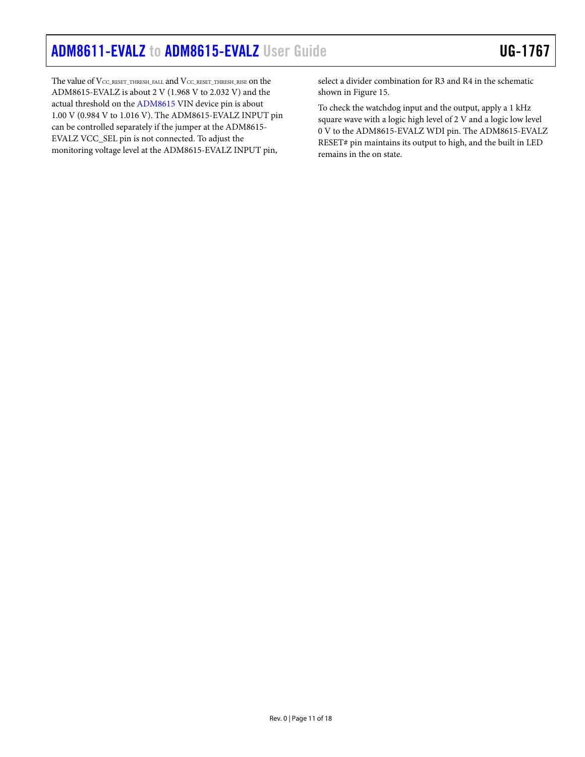The value of  $\rm V_{CC\_RESET\_THRESH\_FALL}$  and  $\rm V_{CC\_RESET\_THRESH\_RISE}$  on the ADM8615-EVALZ is about 2 V (1.968 V to 2.032 V) and the actual threshold on th[e ADM8615 V](https://www.analog.com/ADM8615?doc=ADM8611-EVALZ-8612-EVALZ-8613-EVALZ-8614-EVALZ-8615-EVALZ-UG-1767.pdf)IN device pin is about 1.00 V (0.984 V to 1.016 V). The ADM8615-EVALZ INPUT pin can be controlled separately if the jumper at the ADM8615- EVALZ VCC\_SEL pin is not connected. To adjust the monitoring voltage level at the ADM8615-EVALZ INPUT pin,

select a divider combination for R3 and R4 in the schematic shown in [Figure 15.](#page-12-1) 

To check the watchdog input and the output, apply a 1 kHz square wave with a logic high level of 2 V and a logic low level 0 V to the ADM8615-EVALZ WDI pin. The ADM8615-EVALZ RESET# pin maintains its output to high, and the built in LED remains in the on state.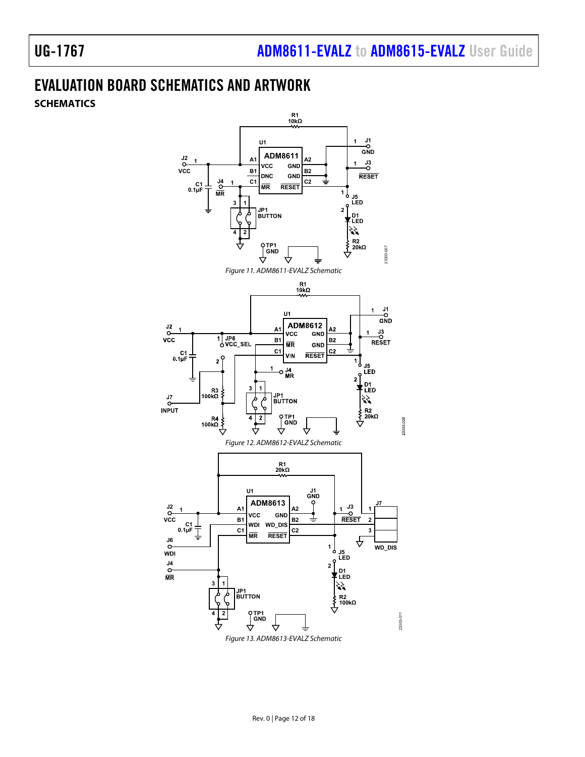## <span id="page-11-2"></span><span id="page-11-1"></span><span id="page-11-0"></span>EVALUATION BOARD SCHEMATICS AND ARTWORK **SCHEMATICS**



<span id="page-11-4"></span><span id="page-11-3"></span>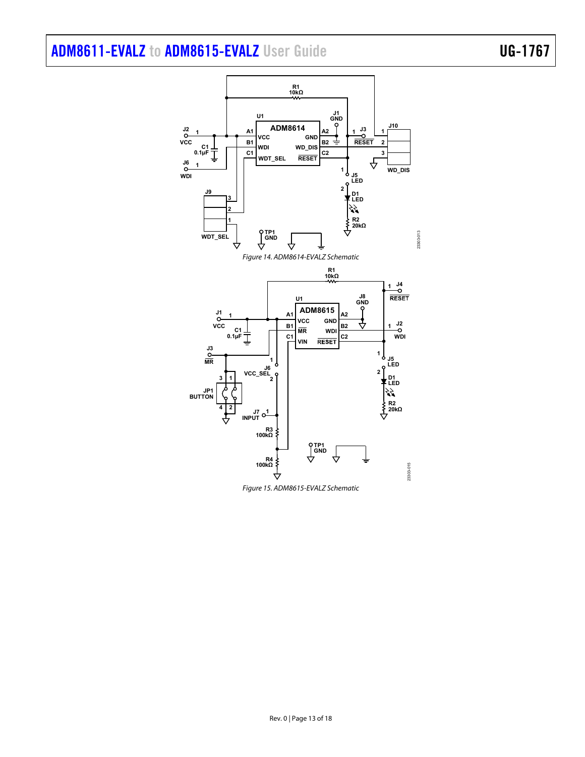## <span id="page-12-0"></span>[ADM8611-EVALZ](https://www.analog.com/ADM8611-evalz?doc=ADM8611-EVALZ-8612-EVALZ-8613-EVALZ-8614-EVALZ-8615-EVALZ-UG-1767.pdf) to [ADM8615-EVALZ](https://www.analog.com/ADM8615-evalz?doc=ADM8611-EVALZ-8612-EVALZ-8613-EVALZ-8614-EVALZ-8615-EVALZ-UG-1767.pdf) User Guide UG-1767



<span id="page-12-1"></span>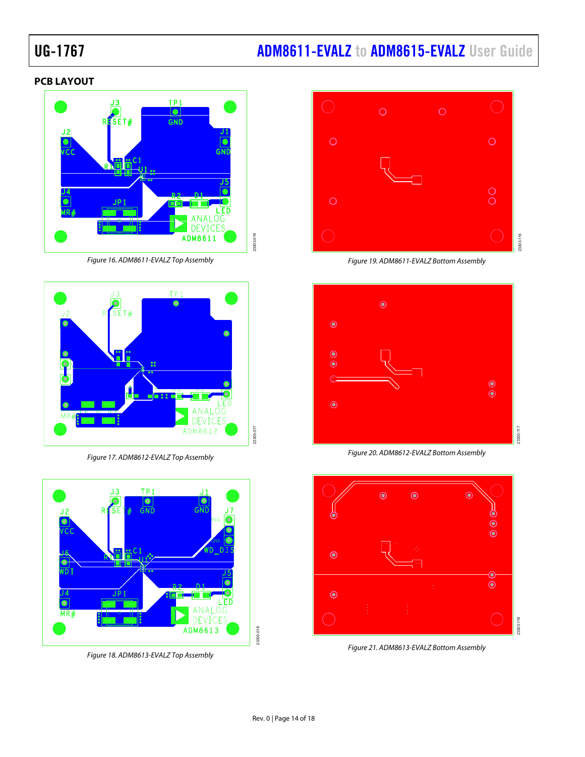# UG-1767 **ADM8611-EVALZ** to **ADM8615-EVALZ** User Guide

#### <span id="page-13-0"></span>**PCB LAYOUT**



Figure 16. ADM8611-EVALZ Top Assembly

<span id="page-13-1"></span>

Figure 17. ADM8612-EVALZ Top Assembly

<span id="page-13-3"></span>

<span id="page-13-5"></span>Figure 18. ADM8613-EVALZ Top Assembly



Figure 19. ADM8611-EVALZ Bottom Assembly

<span id="page-13-2"></span>

Figure 20. ADM8612-EVALZ Bottom Assembly

<span id="page-13-4"></span>

<span id="page-13-6"></span>Figure 21. ADM8613-EVALZ Bottom Assembly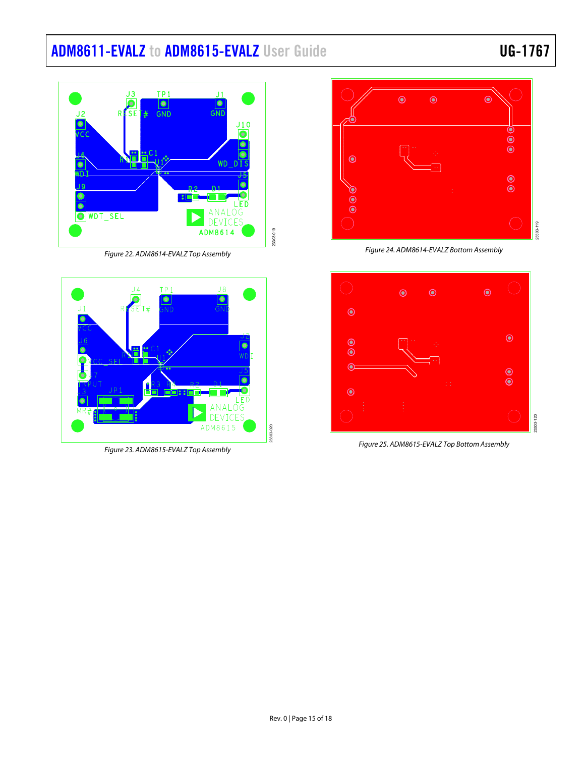# [ADM8611-EVALZ](https://www.analog.com/ADM8611-evalz?doc=ADM8611-EVALZ-8612-EVALZ-8613-EVALZ-8614-EVALZ-8615-EVALZ-UG-1767.pdf) t[o ADM8615-EVALZ](https://www.analog.com/ADM8615-evalz?doc=ADM8611-EVALZ-8612-EVALZ-8613-EVALZ-8614-EVALZ-8615-EVALZ-UG-1767.pdf) User Guide UG-1767

#### $TP<sub>1</sub>$ JЗ  $\bullet$  $\overline{\bullet}$ GNT RESE  $\overline{GND}$  $110$  $\bullet$ WD  $\frac{1}{2}$ WDT\_SEL ANAL OG  $\bullet$ DEVICES ADM8614 23303-019

Figure 22. ADM8614-EVALZ Top Assembly

<span id="page-14-0"></span>

<span id="page-14-2"></span>Figure 23. ADM8615-EVALZ Top Assembly



Figure 24. ADM8614-EVALZ Bottom Assembly

<span id="page-14-1"></span>

<span id="page-14-3"></span>Figure 25. ADM8615-EVALZ Top Bottom Assembly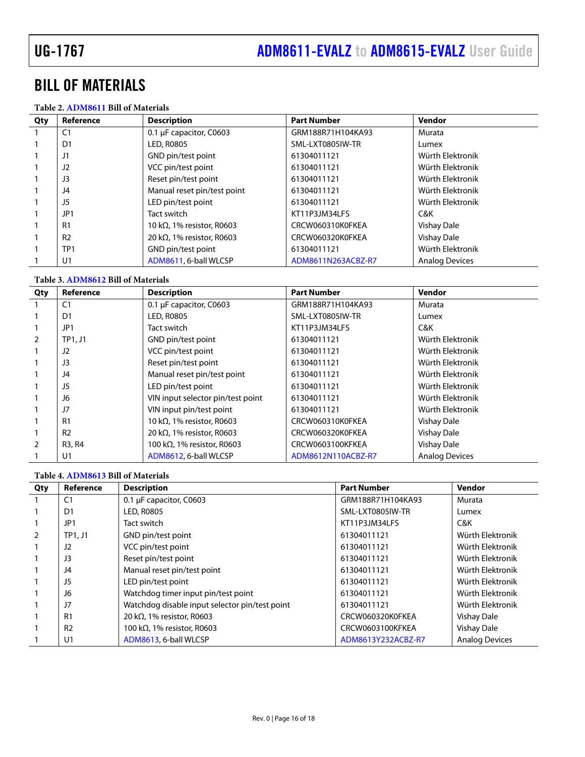## <span id="page-15-0"></span>BILL OF MATERIALS

#### **Table 2[. ADM8611](https://www.analog.com/ADM8611?doc=ADM8611-EVALZ-8612-EVALZ-8613-EVALZ-8614-EVALZ-8615-EVALZ-UG-1767.pdf) Bill of Materials**

| Qty | Reference       | <b>Description</b>                 | <b>Part Number</b> | Vendor                |
|-----|-----------------|------------------------------------|--------------------|-----------------------|
|     | C <sub>1</sub>  | 0.1 µF capacitor, C0603            | GRM188R71H104KA93  | Murata                |
|     | D1              | LED, R0805                         | SML-LXT0805IW-TR   | Lumex                 |
|     | J1              | GND pin/test point                 | 61304011121        | Würth Elektronik      |
|     | J2              | VCC pin/test point                 | 61304011121        | Würth Elektronik      |
|     | J3              | Reset pin/test point               | 61304011121        | Würth Flektronik      |
|     | J4              | Manual reset pin/test point        | 61304011121        | Würth Elektronik      |
|     | J5              | LED pin/test point                 | 61304011121        | Würth Elektronik      |
|     | JP1             | Tact switch                        | KT11P3JM34LFS      | C&K                   |
|     | R <sub>1</sub>  | 10 k $\Omega$ , 1% resistor, R0603 | CRCW060310K0FKEA   | <b>Vishay Dale</b>    |
|     | R <sub>2</sub>  | 20 k $\Omega$ , 1% resistor, R0603 | CRCW060320K0FKEA   | <b>Vishay Dale</b>    |
|     | TP <sub>1</sub> | GND pin/test point                 | 61304011121        | Würth Elektronik      |
|     | U1              | ADM8611, 6-ball WLCSP              | ADM8611N263ACBZ-R7 | <b>Analog Devices</b> |

#### **Table 3[. ADM8612](https://www.analog.com/ADM8612?doc=ADM8611-EVALZ-8612-EVALZ-8613-EVALZ-8614-EVALZ-8615-EVALZ-UG-1767.pdf) Bill of Materials**

| Qty | Reference      | <b>Description</b>                  | <b>Part Number</b> | Vendor                |
|-----|----------------|-------------------------------------|--------------------|-----------------------|
|     | C <sub>1</sub> | 0.1 µF capacitor, C0603             | GRM188R71H104KA93  | Murata                |
|     | D <sub>1</sub> | <b>LED, R0805</b>                   | SML-LXT0805IW-TR   | Lumex                 |
|     | JP1            | Tact switch                         | KT11P3JM34LFS      | C&K                   |
|     | TP1, J1        | GND pin/test point                  | 61304011121        | Würth Elektronik      |
|     | J2             | VCC pin/test point                  | 61304011121        | Würth Elektronik      |
|     | J3             | Reset pin/test point                | 61304011121        | Würth Elektronik      |
|     | J4             | Manual reset pin/test point         | 61304011121        | Würth Elektronik      |
|     | J5             | LED pin/test point                  | 61304011121        | Würth Elektronik      |
|     | J6             | VIN input selector pin/test point   | 61304011121        | Würth Elektronik      |
|     | J7             | VIN input pin/test point            | 61304011121        | Würth Elektronik      |
|     | R <sub>1</sub> | 10 k $\Omega$ , 1% resistor, R0603  | CRCW060310K0FKEA   | Vishay Dale           |
|     | R <sub>2</sub> | 20 k $\Omega$ , 1% resistor, R0603  | CRCW060320K0FKEA   | <b>Vishay Dale</b>    |
|     | R3, R4         | 100 k $\Omega$ , 1% resistor, R0603 | CRCW0603100KFKEA   | Vishay Dale           |
|     | U <sub>1</sub> | ADM8612, 6-ball WLCSP               | ADM8612N110ACBZ-R7 | <b>Analog Devices</b> |

#### **Table 4[. ADM8613](https://www.analog.com/ADM8613?doc=ADM8611-EVALZ-8612-EVALZ-8613-EVALZ-8614-EVALZ-8615-EVALZ-UG-1767.pdf) Bill of Materials**

| Qty | Reference       | <b>Description</b>                             | <b>Part Number</b> | Vendor                |
|-----|-----------------|------------------------------------------------|--------------------|-----------------------|
|     | C <sub>1</sub>  | 0.1 µF capacitor, C0603                        | GRM188R71H104KA93  | Murata                |
|     | D1              | <b>LED, R0805</b>                              | SML-LXT0805IW-TR   | Lumex                 |
|     | JP <sub>1</sub> | Tact switch                                    | KT11P3JM34LFS      | C&K                   |
|     | $TP1.$ J1       | GND pin/test point                             | 61304011121        | Würth Elektronik      |
|     | J2              | VCC pin/test point                             | 61304011121        | Würth Elektronik      |
|     | J3              | Reset pin/test point                           | 61304011121        | Würth Elektronik      |
|     | J4              | Manual reset pin/test point                    | 61304011121        | Würth Elektronik      |
|     | J5              | LED pin/test point                             | 61304011121        | Würth Elektronik      |
|     | J6              | Watchdog timer input pin/test point            | 61304011121        | Würth Elektronik      |
|     | J7              | Watchdog disable input selector pin/test point | 61304011121        | Würth Elektronik      |
|     | R <sub>1</sub>  | 20 k $\Omega$ , 1% resistor, R0603             | CRCW060320K0FKEA   | Vishay Dale           |
|     | R <sub>2</sub>  | 100 k $\Omega$ , 1% resistor, R0603            | CRCW0603100KFKEA   | Vishay Dale           |
|     | U <sub>1</sub>  | ADM8613, 6-ball WLCSP                          | ADM8613Y232ACBZ-R7 | <b>Analog Devices</b> |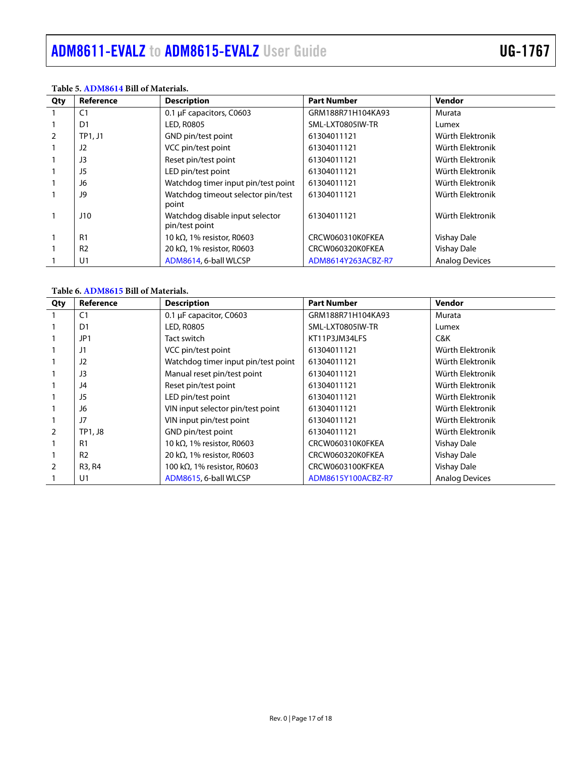| Qty           | Reference      | <b>Description</b>                                | <b>Part Number</b> | Vendor                |
|---------------|----------------|---------------------------------------------------|--------------------|-----------------------|
|               | C <sub>1</sub> | 0.1 µF capacitors, C0603                          | GRM188R71H104KA93  | Murata                |
|               | D1             | <b>LED, R0805</b>                                 | SML-LXT0805IW-TR   | Lumex                 |
| $\mathcal{P}$ | TP1, J1        | GND pin/test point                                | 61304011121        | Würth Elektronik      |
|               | J2             | VCC pin/test point                                | 61304011121        | Würth Elektronik      |
|               | J3             | Reset pin/test point                              | 61304011121        | Würth Elektronik      |
|               | J5             | LED pin/test point                                | 61304011121        | Würth Elektronik      |
|               | J6             | Watchdog timer input pin/test point               | 61304011121        | Würth Elektronik      |
|               | J9             | Watchdog timeout selector pin/test<br>point       | 61304011121        | Würth Elektronik      |
|               | J10            | Watchdog disable input selector<br>pin/test point | 61304011121        | Würth Elektronik      |
|               | R1             | 10 k $\Omega$ , 1% resistor, R0603                | CRCW060310K0FKEA   | Vishay Dale           |
|               | R <sub>2</sub> | 20 k $\Omega$ , 1% resistor, R0603                | CRCW060320K0FKEA   | <b>Vishay Dale</b>    |
|               | U <sub>1</sub> | ADM8614, 6-ball WLCSP                             | ADM8614Y263ACBZ-R7 | <b>Analog Devices</b> |

#### **Table 5[. ADM8614](https://www.analog.com/ADM8614?doc=ADM8611-EVALZ-8612-EVALZ-8613-EVALZ-8614-EVALZ-8615-EVALZ-UG-1767.pdf) Bill of Materials.**

#### **Table 6[. ADM8615](https://www.analog.com/ADM8615?doc=ADM8611-EVALZ-8612-EVALZ-8613-EVALZ-8614-EVALZ-8615-EVALZ-UG-1767.pdf) Bill of Materials.**

| Qty           | Reference      | <b>Description</b>                  | <b>Part Number</b> | Vendor                |
|---------------|----------------|-------------------------------------|--------------------|-----------------------|
|               | C <sub>1</sub> | 0.1 µF capacitor, C0603             | GRM188R71H104KA93  | Murata                |
|               | D <sub>1</sub> | LED, R0805                          | SML-LXT0805IW-TR   | Lumex                 |
|               | JP1            | Tact switch                         | KT11P3JM34LFS      | C&K                   |
|               | J1             | VCC pin/test point                  | 61304011121        | Würth Elektronik      |
|               | J2             | Watchdog timer input pin/test point | 61304011121        | Würth Elektronik      |
|               | J3             | Manual reset pin/test point         | 61304011121        | Würth Elektronik      |
|               | J4             | Reset pin/test point                | 61304011121        | Würth Elektronik      |
|               | J5             | LED pin/test point                  | 61304011121        | Würth Elektronik      |
|               | J6             | VIN input selector pin/test point   | 61304011121        | Würth Elektronik      |
|               | J7             | VIN input pin/test point            | 61304011121        | Würth Elektronik      |
| $\mathcal{P}$ | TP1, J8        | GND pin/test point                  | 61304011121        | Würth Elektronik      |
|               | R <sub>1</sub> | 10 k $\Omega$ , 1% resistor, R0603  | CRCW060310K0FKEA   | Vishay Dale           |
|               | R <sub>2</sub> | 20 k $\Omega$ , 1% resistor, R0603  | CRCW060320K0FKEA   | Vishay Dale           |
|               | R3, R4         | 100 k $\Omega$ , 1% resistor, R0603 | CRCW0603100KFKEA   | Vishay Dale           |
|               | U1             | ADM8615, 6-ball WLCSP               | ADM8615Y100ACBZ-R7 | <b>Analog Devices</b> |